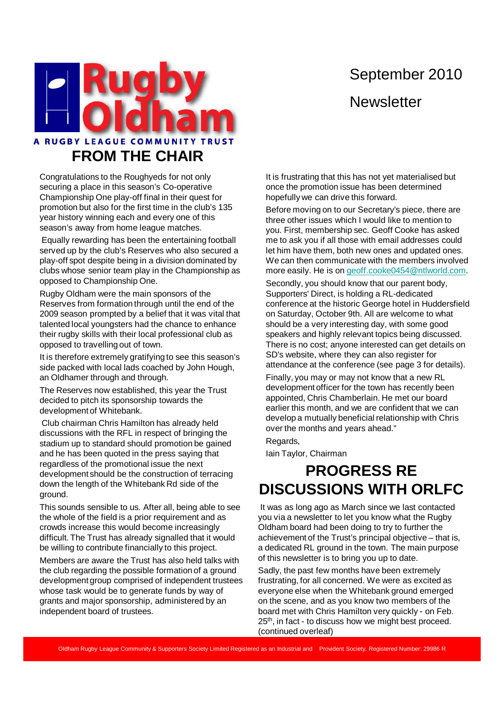# September 2010 **Newsletter**



Congratulations to the Roughyeds for not only securing a place in this season's Co-operative Championship One play-off final in their quest for promotion but also for the first time in the club's 135 year history winning each and every one of this season's away from home league matches.

Equally rewarding has been the entertaining football served up by the club's Reserves who also secured a play-off spot despite being in a division dominated by clubs whose senior team play in the Championship as opposed to Championship One.

Rugby Oldham were the main sponsors of the Reserves from formation through until the end of the 2009 season prompted by a belief that it was vital that talented local youngsters had the chance to enhance their rugby skills with their local professional club as opposed to travelling out of town.

It is therefore extremely gratifying to see this season's side packed with local lads coached by John Hough, an Oldhamer through and through.

The Reserves now established, this year the Trust decided to pitch its sponsorship towards the development of Whitebank.

Club chairman Chris Hamilton has already held discussions with the RFL in respect of bringing the stadium up to standard should promotion be gained and he has been quoted in the press saying that regardless of the promotional issue the next development should be the construction of terracing down the length of the Whitebank Rd side of the ground.

This sounds sensible to us. After all, being able to see the whole of the field is a prior requirement and as crowds increase this would become increasingly difficult. The Trust has already signalled that it would be willing to contribute financially to this project.

Members are aware the Trust has also held talks with the club regarding the possible formation of a ground development group comprised of independent trustees whose task would be to generate funds by way of grants and major sponsorship, administered by an independent board of trustees.

It is frustrating that this has not yet materialised but once the promotion issue has been determined hopefully we can drive this forward.

Before moving on to our Secretary's piece, there are three other issues which I would like to mention to you. First, membership sec. Geoff Cooke has asked me to ask you if all those with email addresses could let him have them, both new ones and updated ones. We can then communicate with the members involved more easily. He is on geoff.cooke0454@ntlworld.com.

Secondly, you should know that our parent body, Supporters' Direct, is holding a RL-dedicated conference at the historic George hotel in Huddersfield on Saturday, October 9th. All are welcome to what should be a very interesting day, with some good speakers and highly relevant topics being discussed. There is no cost; anyone interested can get details on SD's website, where they can also register for attendance at the conference (see page 3 for details).

Finally, you may or may not know that a new RL development officer for the town has recently been appointed, Chris Chamberlain. He met our board earlier this month, and we are confident that we can develop a mutually beneficial relationship with Chris over the months and years ahead."

Regards,

Iain Taylor, Chairman

### **PROGRESS RE DISCUSSIONS WITH ORLFC**

It was as long ago as March since we last contacted you via a newsletter to let you know what the Rugby Oldham board had been doing to try to further the achievement of the Trust's principal objective – that is, a dedicated RL ground in the town. The main purpose of this newsletter is to bring you up to date.

Sadly, the past few months have been extremely frustrating, for all concerned. We were as excited as everyone else when the Whitebank ground emerged on the scene, and as you know two members of the board met with Chris Hamilton very quickly - on Feb. 25<sup>th</sup>, in fact - to discuss how we might best proceed. (continued overleaf)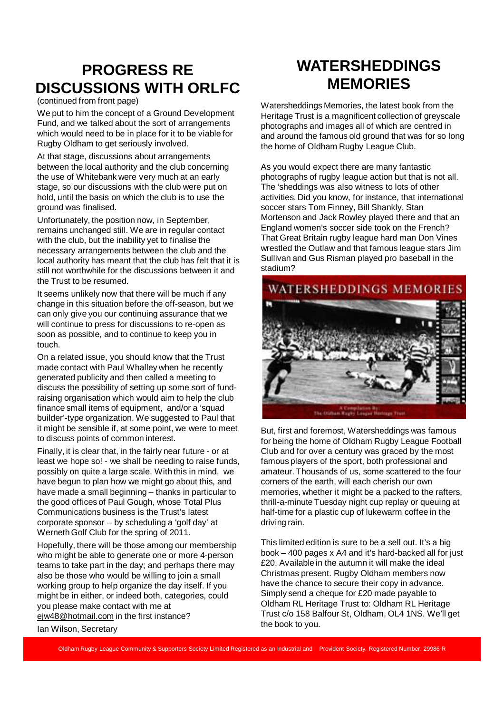## **PROGRESS RE DISCUSSIONS WITH ORLFC**

#### (continued from front page)

We put to him the concept of a Ground Development Fund, and we talked about the sort of arrangements which would need to be in place for it to be viable for Rugby Oldham to get seriously involved.

At that stage, discussions about arrangements between the local authority and the club concerning the use of Whitebank were very much at an early stage, so our discussions with the club were put on hold, until the basis on which the club is to use the ground was finalised.

Unfortunately, the position now, in September, remains unchanged still. We are in regular contact with the club, but the inability yet to finalise the necessary arrangements between the club and the local authority has meant that the club has felt that it is still not worthwhile for the discussions between it and the Trust to be resumed.

It seems unlikely now that there will be much if any change in this situation before the off-season, but we can only give you our continuing assurance that we will continue to press for discussions to re-open as soon as possible, and to continue to keep you in touch.

On a related issue, you should know that the Trust made contact with Paul Whalley when he recently generated publicity and then called a meeting to discuss the possibility of setting up some sort of fundraising organisation which would aim to help the club finance small items of equipment, and/or a 'squad builder'-type organization. We suggested to Paul that it might be sensible if, at some point, we were to meet to discuss points of common interest.

Finally, it is clear that, in the fairly near future - or at least we hope so! - we shall be needing to raise funds, possibly on quite a large scale. With this in mind, we have begun to plan how we might go about this, and have made a small beginning – thanks in particular to the good offices of Paul Gough, whose Total Plus Communications business is the Trust's latest corporate sponsor – by scheduling a 'golf day' at Werneth Golf Club for the spring of 2011.

Hopefully, there will be those among our membership who might be able to generate one or more 4-person teams to take part in the day; and perhaps there may also be those who would be willing to join a small working group to help organize the day itself. If you might be in either, or indeed both, categories, could you please make contact with me at ejw48@hotmail.com in the first instance?

### **WATERSHEDDINGS MEMORIES**

Watersheddings Memories, the latest book from the Heritage Trust is a magnificent collection of greyscale photographs and images all of which are centred in and around the famous old ground that was for so long the home of Oldham Rugby League Club.

As you would expect there are many fantastic photographs of rugby league action but that is not all. The 'sheddings was also witness to lots of other activities. Did you know, for instance, that international soccer stars Tom Finney, Bill Shankly, Stan Mortenson and Jack Rowley played there and that an England women's soccer side took on the French? That Great Britain rugby league hard man Don Vines wrestled the Outlaw and that famous league stars Jim Sullivan and Gus Risman played pro baseball in the stadium?



But, first and foremost, Watersheddings was famous for being the home of Oldham Rugby League Football Club and for over a century was graced by the most famous players of the sport, both professional and amateur. Thousands of us, some scattered to the four corners of the earth, will each cherish our own memories, whether it might be a packed to the rafters, thrill-a-minute Tuesday night cup replay or queuing at half-time for a plastic cup of lukewarm coffee in the driving rain.

This limited edition is sure to be a sell out. It's a big book – 400 pages x A4 and it's hard-backed all for just £20. Available in the autumn it will make the ideal Christmas present. Rugby Oldham members now have the chance to secure their copy in advance. Simply send a cheque for £20 made payable to Oldham RL Heritage Trust to: Oldham RL Heritage Trust c/o 158 Balfour St, Oldham, OL4 1NS. We'll get the book to you.

Ian Wilson, Secretary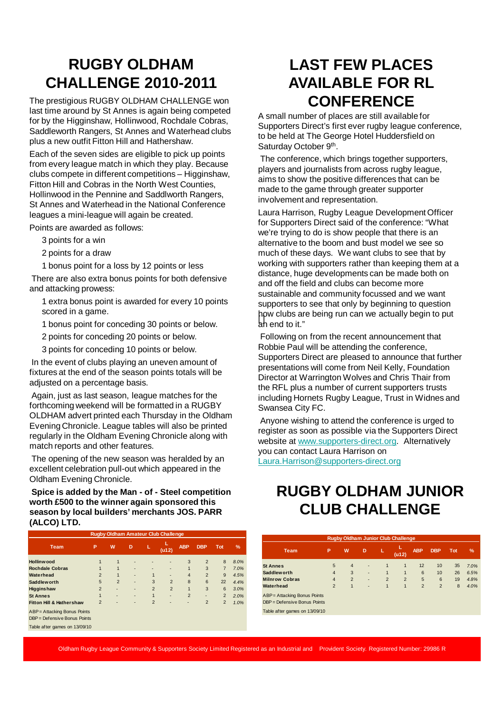### **RUGBY OLDHAM CHALLENGE 2010-2011**

The prestigious RUGBY OLDHAM CHALLENGE won last time around by St Annes is again being competed for by the Higginshaw, Hollinwood, Rochdale Cobras, Saddleworth Rangers, St Annes and Waterhead clubs plus a new outfit Fitton Hill and Hathershaw.

Each of the seven sides are eligible to pick up points from every league match in which they play. Because clubs compete in different competitions – Higginshaw, Fitton Hill and Cobras in the North West Counties, Hollinwood in the Pennine and Saddlworth Rangers, St Annes and Waterhead in the National Conference leagues a mini-league will again be created.

Points are awarded as follows:

- 3 points for a win
- 2 points for a draw
- 1 bonus point for a loss by 12 points or less

There are also extra bonus points for both defensive and attacking prowess:

1 extra bonus point is awarded for every 10 points scored in a game.

1 bonus point for conceding 30 points or below.

2 points for conceding 20 points or below.

3 points for conceding 10 points or below.

In the event of clubs playing an uneven amount of fixtures at the end of the season points totals will be adjusted on a percentage basis.

Again, just as last season, league matches for the forthcoming weekend will be formatted in a RUGBY OLDHAM advert printed each Thursday in the Oldham Evening Chronicle. League tables will also be printed regularly in the Oldham Evening Chronicle along with match reports and other features.

The opening of the new season was heralded by an excellent celebration pull-out which appeared in the Oldham Evening Chronicle.

**Spice is added by the Man - of - Steel competition worth £500 to the winner again sponsored this season by local builders' merchants JOS. PARR (ALCO) LTD.**

| <b>Rugby Oldham Amateur Club Challenge</b> |                |                |   |                |                |                |                |                |               |  |
|--------------------------------------------|----------------|----------------|---|----------------|----------------|----------------|----------------|----------------|---------------|--|
| <b>Team</b>                                | P              | W              | D | L              | (u12)          | <b>ABP</b>     | <b>DBP</b>     | <b>Tot</b>     | $\frac{9}{6}$ |  |
| Hollinwood                                 | 1              | $\mathbf{1}$   |   |                | ۰              | 3              | $\overline{2}$ | 8              | 8.0%          |  |
| <b>Rochdale Cobras</b>                     |                | $\mathbf{1}$   | ٠ | ۰              | ۰              | $\overline{1}$ | 3              | $\overline{7}$ | 7.0%          |  |
| Waterhead                                  | $\overline{2}$ | $\mathbf{1}$   | ٠ | 1              | ۰              | $\overline{4}$ | $\overline{2}$ | 9              | 4.5%          |  |
| <b>Saddleworth</b>                         | 5              | $\overline{2}$ | ٠ | 3              | $\overline{2}$ | 8              | 6              | 22             | 4.4%          |  |
| <b>Higginshaw</b>                          | $\overline{2}$ | ٠              | ۰ | $\overline{2}$ | $\overline{2}$ | $\mathbf{1}$   | 3              | 6              | 3.0%          |  |
| <b>St Annes</b>                            | 1              | $\overline{a}$ | ۰ | 1              | ۰              | $\overline{2}$ | ٠              | $\overline{2}$ | 2.0%          |  |
| Fitton Hill & Hathershaw                   | $\overline{2}$ | $\overline{a}$ | ۰ | $\overline{2}$ |                |                | $\overline{2}$ | $\overline{2}$ | 1.0%          |  |
| ABP = Attacking Bonus Points               |                |                |   |                |                |                |                |                |               |  |
| DBP = Defensive Bonus Points               |                |                |   |                |                |                |                |                |               |  |
| Table after games on 13/09/10              |                |                |   |                |                |                |                |                |               |  |
|                                            |                |                |   |                |                |                |                |                |               |  |

#### **LAST FEW PLACES AVAILABLE FOR RL CONFERENCE**

A small number of places are still available for Supporters Direct's first ever rugby league conference, to be held at The George Hotel Huddersfield on Saturday October 9<sup>th</sup>.

The conference, which brings together supporters, players and journalists from across rugby league, aims to show the positive differences that can be made to the game through greater supporter involvement and representation.

pw clubs are<br>an end to it." Laura Harrison, Rugby League Development Officer for Supporters Direct said of the conference: "What we're trying to do is show people that there is an alternative to the boom and bust model we see so much of these days. We want clubs to see that by working with supporters rather than keeping them at a distance, huge developments can be made both on and off the field and clubs can become more sustainable and community focussed and we want supporters to see that only by beginning to question how clubs are being run can we actually begin to put

Following on from the recent announcement that Robbie Paul will be attending the conference, Supporters Direct are pleased to announce that further presentations will come from Neil Kelly, Foundation Director at Warrington Wolves and Chris Thair from the RFL plus a number of current supporters trusts including Hornets Rugby League, Trust in Widnes and Swansea City FC.

Anyone wishing to attend the conference is urged to register as soon as possible via the Supporters Direct website at www.supporters-direct.org. Alternatively you can contact Laura Harrison on Laura.Harrison@supporters-direct.org

#### **RUGBY OLDHAM JUNIOR CLUB CHALLENGE**

| <b>Rugby Oldham Junior Club Challenge</b> |                 |                |                          |                |                |                |                |            |               |  |
|-------------------------------------------|-----------------|----------------|--------------------------|----------------|----------------|----------------|----------------|------------|---------------|--|
| <b>Team</b>                               | P               | W              | D                        | L              | $($ u12 $)$    | <b>ABP</b>     | <b>DBP</b>     | <b>Tot</b> | $\frac{9}{6}$ |  |
| <b>St Annes</b>                           | $5\overline{5}$ | $\overline{4}$ | ٠                        | 1              | 1              | 12             | 10             | 35         | 7.0%          |  |
| Saddlew orth                              | $\overline{4}$  | 3              | ۰                        | $\mathbf{1}$   | $\mathbf{1}$   | 6              | 10             | 26         | 6.5%          |  |
| <b>Milnrow Cobras</b>                     | $\overline{4}$  | $\overline{2}$ | $\overline{\phantom{a}}$ | $\overline{2}$ | $\overline{2}$ | 5              | 6              | 19         | 4.8%          |  |
| Waterhead                                 | $\overline{2}$  | $\mathbf{1}$   | $\overline{\phantom{a}}$ | $\mathbf{1}$   | $\mathbf{1}$   | $\overline{2}$ | $\overline{2}$ | 8          | 4.0%          |  |
| ABP = Attacking Bonus Points              |                 |                |                          |                |                |                |                |            |               |  |
| $DBP = Defensive Bonds$ Points            |                 |                |                          |                |                |                |                |            |               |  |
| Table after games on 13/09/10             |                 |                |                          |                |                |                |                |            |               |  |